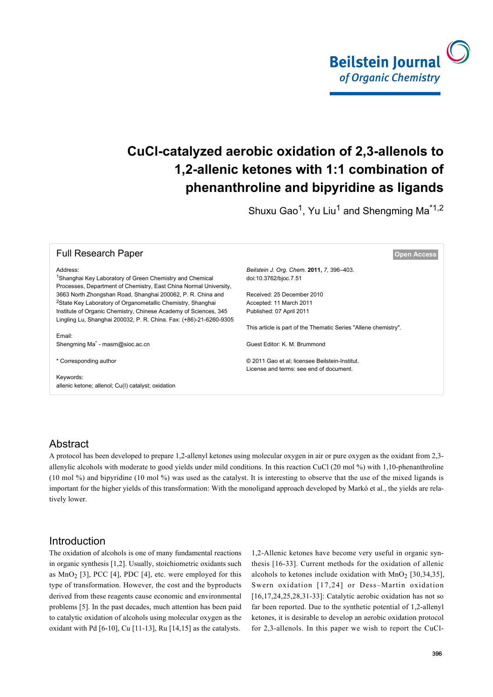

# **CuCl-catalyzed aerobic oxidation of 2,3-allenols to 1,2-allenic ketones with 1:1 combination of phenanthroline and bipyridine as ligands**

Shuxu Gao<sup>1</sup>, Yu Liu<sup>1</sup> and Shengming Ma<sup>\*1,2</sup>

| <b>Full Research Paper</b>                                                                                                                | <b>Open Access</b>                                              |
|-------------------------------------------------------------------------------------------------------------------------------------------|-----------------------------------------------------------------|
| Address:                                                                                                                                  | Beilstein J. Org. Chem. 2011, 7, 396–403.                       |
| <sup>1</sup> Shanghai Key Laboratory of Green Chemistry and Chemical<br>Processes, Department of Chemistry, East China Normal University, | doi:10.3762/bjoc.7.51                                           |
| 3663 North Zhongshan Road, Shanghai 200062, P. R. China and                                                                               | Received: 25 December 2010                                      |
| <sup>2</sup> State Key Laboratory of Organometallic Chemistry, Shanghai                                                                   | Accepted: 11 March 2011                                         |
| Institute of Organic Chemistry, Chinese Academy of Sciences, 345                                                                          | Published: 07 April 2011                                        |
| Lingling Lu, Shanghai 200032, P. R. China. Fax: (+86)-21-6260-9305                                                                        |                                                                 |
|                                                                                                                                           | This article is part of the Thematic Series "Allene chemistry". |
| Email:                                                                                                                                    |                                                                 |
| Shengming Ma <sup>*</sup> - masm@sioc.ac.cn                                                                                               | Guest Editor: K. M. Brummond                                    |
| * Corresponding author                                                                                                                    | © 2011 Gao et al; licensee Beilstein-Institut.                  |
|                                                                                                                                           | License and terms: see end of document.                         |
| Keywords:                                                                                                                                 |                                                                 |
| allenic ketone; allenol; Cu(I) catalyst; oxidation                                                                                        |                                                                 |
|                                                                                                                                           |                                                                 |

# Abstract

A protocol has been developed to prepare 1,2-allenyl ketones using molecular oxygen in air or pure oxygen as the oxidant from 2,3 allenylic alcohols with moderate to good yields under mild conditions. In this reaction CuCl (20 mol %) with 1,10-phenanthroline (10 mol %) and bipyridine (10 mol %) was used as the catalyst. It is interesting to observe that the use of the mixed ligands is important for the higher yields of this transformation: With the monoligand approach developed by Markó et al., the yields are relatively lower.

# Introduction

The oxidation of alcohols is one of many fundamental reactions in organic synthesis [\[1,2\].](#page-6-0) Usually, stoichiometric oxidants such as  $MnO<sub>2</sub>$  [\[3\]](#page-6-1), PCC [\[4\]](#page-6-2), PDC [4], etc. were employed for this type of transformation. However, the cost and the byproducts derived from these reagents cause economic and environmental problems [\[5\]](#page-6-3). In the past decades, much attention has been paid to catalytic oxidation of alcohols using molecular oxygen as the oxidant with Pd [\[6-10\]](#page-6-4), Cu [\[11-13\],](#page-7-0) Ru [\[14,15\]](#page-7-1) as the catalysts.

1,2-Allenic ketones have become very useful in organic synthesis [\[16-33\]](#page-7-2). Current methods for the oxidation of allenic alcohols to ketones include oxidation with  $MnO<sub>2</sub>$  [\[30,34,35\]](#page-7-3), Swern oxidation [\[17,24\]](#page-7-4) or Dess–Martin oxidation [\[16,17,24,25,28,31-33\]](#page-7-2): Catalytic aerobic oxidation has not so far been reported. Due to the synthetic potential of 1,2-allenyl ketones, it is desirable to develop an aerobic oxidation protocol for 2,3-allenols. In this paper we wish to report the CuCl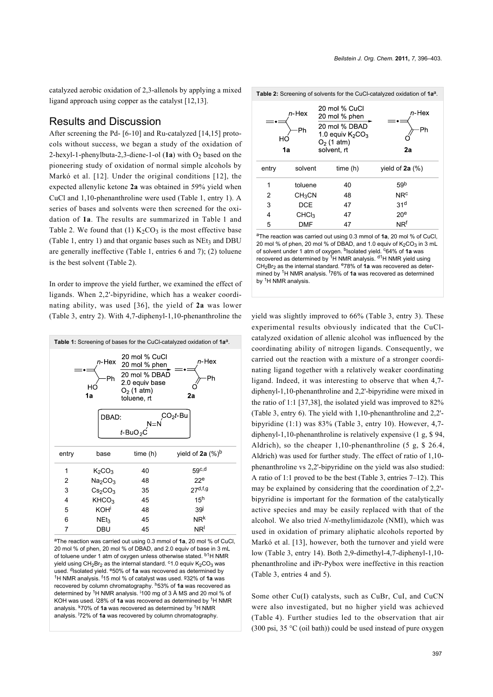catalyzed aerobic oxidation of 2,3-allenols by applying a mixed ligand approach using copper as the catalyst [\[12,13\]](#page-7-5).

# Results and Discussion

After screening the Pd- [\[6-10\]](#page-6-4) and Ru-catalyzed [\[14,15\]](#page-7-1) protocols without success, we began a study of the oxidation of 2-hexyl-1-phenylbuta-2,3-diene-1-ol (1a) with O<sub>2</sub> based on the pioneering study of oxidation of normal simple alcohols by Markó et al. [\[12\]](#page-7-5). Under the original conditions [\[12\]](#page-7-5), the expected allenylic ketone **2a** was obtained in 59% yield when CuCl and 1,10-phenanthroline were used ([Table 1,](#page-1-0) entry 1). A series of bases and solvents were then screened for the oxidation of **1a**. The results are summarized in [Table 1](#page-1-0) and [Table 2.](#page-1-1) We found that (1)  $K_2CO_3$  is the most effective base ([Table 1,](#page-1-0) entry 1) and that organic bases such as  $NEt<sub>3</sub>$  and DBU are generally ineffective [\(Table 1](#page-1-0), entries 6 and 7); (2) toluene is the best solvent ([Table 2\)](#page-1-1).

In order to improve the yield further, we examined the effect of ligands. When 2,2'-bipyridine, which has a weaker coordinating ability, was used [\[36\]](#page-7-6), the yield of **2a** was lower ([Table 3,](#page-2-0) entry 2). With 4,7-diphenyl-1,10-phenanthroline the

<span id="page-1-0"></span>

<sup>a</sup>The reaction was carried out using 0.3 mmol of **1a**, 20 mol % of CuCl, 20 mol % of phen, 20 mol % of DBAD, and 2.0 equiv of base in 3 mL of toluene under 1 atm of oxygen unless otherwise stated.  $b1$ H NMR yield using  $CH_2Br_2$  as the internal standard. <sup>c</sup>1.0 equiv  $K_2CO_3$  was used. <sup>d</sup>Isolated yield. <sup>e</sup>50% of 1a was recovered as determined by <sup>1</sup>H NMR analysis. f15 mol % of catalyst was used. g32% of **1a** was recovered by column chromatography. h53% of **1a** was recovered as determined by <sup>1</sup>H NMR analysis. <sup>i</sup>100 mg of 3 Å MS and 20 mol % of KOH was used. j28% of **1a** was recovered as determined by 1H NMR analysis. k70% of **1a** was recovered as determined by 1H NMR analysis. l72% of **1a** was recovered by column chromatography.

<span id="page-1-1"></span>

| HО    | $n$ -Hex<br>Ph<br>1a | 20 mol % CuCl<br>20 mol % phen<br>20 mol % DBAD<br>1.0 equiv $K_2CO_3$<br>$O_2$ (1 atm)<br>solvent, rt | $n$ -Hex<br>Ph<br>2a  |
|-------|----------------------|--------------------------------------------------------------------------------------------------------|-----------------------|
| entry | solvent              | time(h)                                                                                                | yield of $2a$ $(\%)$  |
| 1     | toluene              | 40                                                                                                     | 59 <sup>b</sup>       |
| 2     | CH <sub>3</sub> CN   | 48                                                                                                     | <b>NR<sup>c</sup></b> |
| 3     | <b>DCE</b>           | 47                                                                                                     | 31 <sup>d</sup>       |
| 4     | CHCl <sub>3</sub>    | 47                                                                                                     | 20 <sup>e</sup>       |
| 5     | <b>DMF</b>           | 47                                                                                                     | $NR^{f}$              |

<sup>a</sup>The reaction was carried out using 0.3 mmol of **1a**, 20 mol % of CuCl, 20 mol % of phen, 20 mol % of DBAD, and 1.0 equiv of  $K_2CO_3$  in 3 mL of solvent under 1 atm of oxygen. <sup>b</sup>Isolated yield. <sup>c</sup>64% of 1a was recovered as determined by <sup>1</sup>H NMR analysis. <sup>d1</sup>H NMR yield using CH2Br2 as the internal standard. e78% of **1a** was recovered as determined by 1H NMR analysis. f76% of **1a** was recovered as determined by <sup>1</sup>H NMR analysis.

yield was slightly improved to 66% ([Table 3](#page-2-0), entry 3). These experimental results obviously indicated that the CuClcatalyzed oxidation of allenic alcohol was influenced by the coordinating ability of nitrogen ligands. Consequently, we carried out the reaction with a mixture of a stronger coordinating ligand together with a relatively weaker coordinating ligand. Indeed, it was interesting to observe that when 4,7 diphenyl-1,10-phenanthroline and 2,2'-bipyridine were mixed in the ratio of 1:1 [\[37,38\],](#page-7-7) the isolated yield was improved to 82% ([Table 3](#page-2-0), entry 6). The yield with 1,10-phenanthroline and 2,2' bipyridine (1:1) was 83% ([Table 3](#page-2-0), entry 10). However, 4,7 diphenyl-1,10-phenanthroline is relatively expensive (1 g, \$ 94, Aldrich), so the cheaper 1,10-phenanthroline (5 g, \$ 26.4, Aldrich) was used for further study. The effect of ratio of 1,10 phenanthroline vs 2,2'-bipyridine on the yield was also studied: A ratio of 1:1 proved to be the best ([Table 3,](#page-2-0) entries 7–12). This may be explained by considering that the coordination of 2,2' bipyridine is important for the formation of the catalytically active species and may be easily replaced with that of the alcohol. We also tried *N*-methylimidazole (NMI), which was used in oxidation of primary aliphatic alcohols reported by Markó et al. [\[13\]](#page-7-8), however, both the turnover and yield were low [\(Table 3](#page-2-0), entry 14). Both 2,9-dimethyl-4,7-diphenyl-1,10 phenanthroline and iPr-Pybox were ineffective in this reaction ([Table 3,](#page-2-0) entries 4 and 5).

Some other Cu(I) catalysts, such as CuBr, CuI, and CuCN were also investigated, but no higher yield was achieved ([Table 4](#page-3-0)). Further studies led to the observation that air (300 psi, 35  $\degree$ C (oil bath)) could be used instead of pure oxygen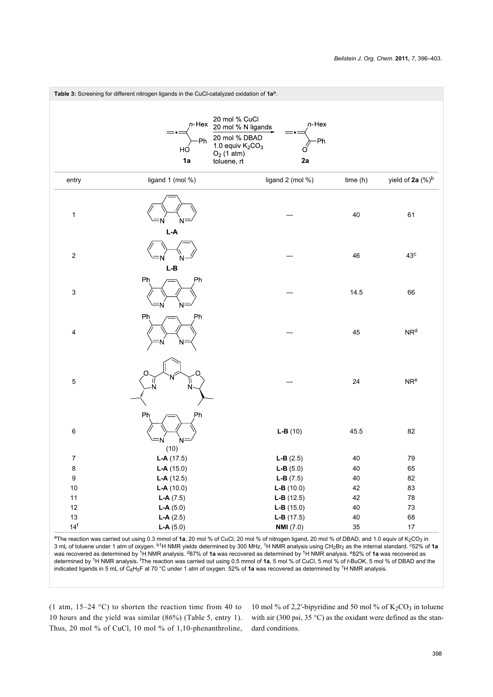<span id="page-2-0"></span>

<sup>a</sup>The reaction was carried out using 0.3 mmol of **1a**, 20 mol % of CuCl, 20 mol % of nitrogen ligand, 20 mol % of DBAD, and 1.0 equiv of K<sub>2</sub>CO<sub>3</sub> in 3 mL of toluene under 1 atm of oxygen. b1H NMR yields determined by 300 MHz, 1H NMR analysis using CH2Br2 as the internal standard. c52% of **1a** was recovered as determined by 1H NMR analysis. d87% of **1a** was recovered as determined by 1H NMR analysis. e82% of **1a** was recovered as determined by 1H NMR analysis. fThe reaction was carried out using 0.5 mmol of **1a**, 5 mol % of CuCl, 5 mol % of *t*-BuOK, 5 mol % of DBAD and the indicated ligands in 5 mL of C<sub>6</sub>H<sub>5</sub>F at 70 °C under 1 atm of oxygen. 52% of 1a was recovered as determined by <sup>1</sup>H NMR analysis.

(1 atm, 15–24 °C) to shorten the reaction time from 40 to 10 hours and the yield was similar (86%) ([Table 5](#page-3-1), entry 1). Thus, 20 mol % of CuCl, 10 mol % of 1,10-phenanthroline,

10 mol % of 2,2'-bipyridine and 50 mol % of  $K_2CO_3$  in toluene with air (300 psi, 35 °C) as the oxidant were defined as the standard conditions.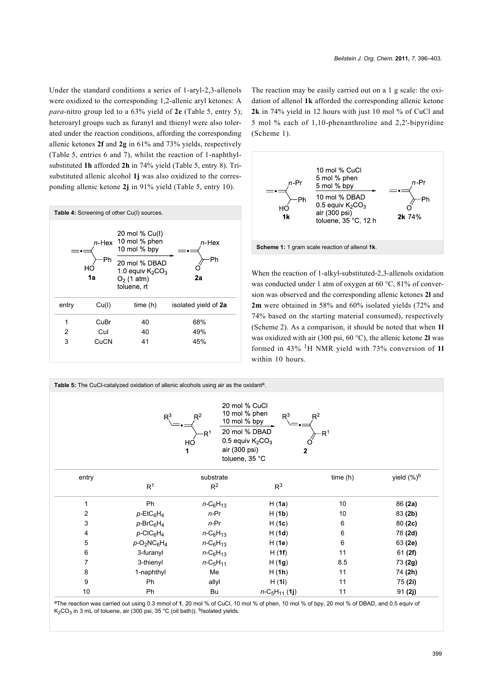Under the standard conditions a series of 1-aryl-2,3-allenols were oxidized to the corresponding 1,2-allenic aryl ketones: A *para*-nitro group led to a 63% yield of **2e** ([Table 5](#page-3-1), entry 5); heteroaryl groups such as furanyl and thienyl were also tolerated under the reaction conditions, affording the corresponding allenic ketones **2f** and **2g** in 61% and 73% yields, respectively ([Table 5](#page-3-1), entries 6 and 7), whilst the reaction of 1-naphthylsubstituted **1h** afforded **2h** in 74% yield [\(Table 5,](#page-3-1) entry 8). Trisubstituted allenic alcohol **1j** was also oxidized to the corresponding allenic ketone **2j** in 91% yield ([Table 5](#page-3-1), entry 10).

<span id="page-3-0"></span>

The reaction may be easily carried out on a 1 g scale: the oxidation of allenol **1k** afforded the corresponding allenic ketone **2k** in 74% yield in 12 hours with just 10 mol % of CuCl and 5 mol % each of 1,10-phenanthroline and 2,2'-bipyridine ([Scheme 1](#page-3-2)).

<span id="page-3-2"></span>

When the reaction of 1-alkyl-substituted-2,3-allenols oxidation was conducted under 1 atm of oxygen at 60 °C, 81% of conversion was observed and the corresponding allenic ketones **2l** and **2m** were obtained in 58% and 60% isolated yields (72% and 74% based on the starting material consumed), respectively ([Scheme 2\)](#page-4-0). As a comparison, it should be noted that when **1l** was oxidized with air (300 psi, 60 °C), the allenic ketone **2l** was formed in 43% 1H NMR yield with 73% conversion of **1l** within 10 hours.

<span id="page-3-1"></span>Table 5: The CuCl-catalyzed oxidation of allenic alcohols using air as the oxidant<sup>a</sup>. 20 mol % CuCl 10 mol % phen 10 mol % bpy 20 mol % DBAD 0.5 equiv K<sub>2</sub>CO<sub>3</sub>  $H\subset$ air (300 psi) toluene. 35 °C entry entry substrate substrate time (h) yield (%)<sup>b</sup>  $R^1$   $R^2$   $R^3$ 1 Ph *n-*C6H<sup>13</sup> H (**1a**) 10 86 **(2a)** 2 *p-*EtC6H<sup>4</sup> *n-*Pr H (**1b**) 10 83 **(2b)** 3 *p-*BrC6H<sup>4</sup> *n-*Pr H (**1c**) 6 80 **(2c)** 4 *p-*ClC6H<sup>4</sup> *n-*C6H<sup>13</sup> H (**1d**) 6 78 **(2d)** 5 *p-*O2NC6H<sup>4</sup> *n-*C6H<sup>13</sup> H (**1e**) 6 63 **(2e)** 6 3-furanyl *n-*C6H<sup>13</sup> H (**1f**) 11 61 **(2f)** 7 3-thienyl *n-*C5H<sup>11</sup> H (**1g**) 8.5 73 **(2g)** 8 1-naphthyl Me H (**1h**) 11 74 **(2h)** 9 Ph allyl H (**1i**) 11 75 **(2i)** 10 Ph Bu *n*-C5H11 (**1j**) 11 91 **(2j)**

<sup>a</sup>The reaction was carried out using 0.3 mmol of **1**, 20 mol % of CuCl, 10 mol % of phen, 10 mol % of bpy, 20 mol % of DBAD, and 0.5 equiv of K<sub>2</sub>CO<sub>3</sub> in 3 mL of toluene, air (300 psi, 35 °C (oil bath)). <sup>b</sup>Isolated yields.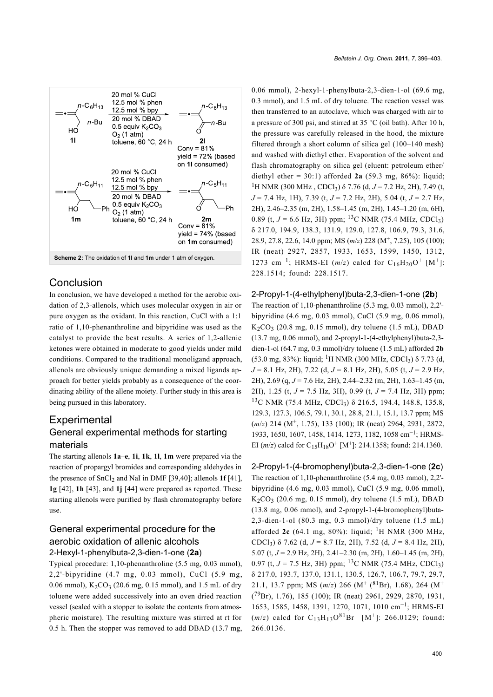<span id="page-4-0"></span>

# Conclusion

In conclusion, we have developed a method for the aerobic oxidation of 2,3-allenols, which uses molecular oxygen in air or pure oxygen as the oxidant. In this reaction, CuCl with a 1:1 ratio of 1,10-phenanthroline and bipyridine was used as the catalyst to provide the best results. A series of 1,2-allenic ketones were obtained in moderate to good yields under mild conditions. Compared to the traditional monoligand approach, allenols are obviously unique demanding a mixed ligands approach for better yields probably as a consequence of the coordinating ability of the allene moiety. Further study in this area is being pursued in this laboratory.

# **Experimental** General experimental methods for starting materials

The starting allenols **1a–e**, **1i**, **1k**, **1l**, **1m** were prepared via the reaction of propargyl bromides and corresponding aldehydes in the presence of SnCl<sub>2</sub> and NaI in DMF [\[39,40\];](#page-7-9) allenols 1f [\[41\]](#page-7-10), **1g** [\[42\],](#page-7-11) **1h** [\[43\]](#page-7-12), and **1j** [\[44\]](#page-7-13) were prepared as reported. These starting allenols were purified by flash chromatography before use.

### General experimental procedure for the aerobic oxidation of allenic alcohols 2-Hexyl-1-phenylbuta-2,3-dien-1-one (**2a**)

Typical procedure: 1,10-phenanthroline (5.5 mg, 0.03 mmol), 2,2'-bipyridine (4.7 mg, 0.03 mmol), CuCl (5.9 mg, 0.06 mmol),  $K_2CO_3$  (20.6 mg, 0.15 mmol), and 1.5 mL of dry toluene were added successively into an oven dried reaction vessel (sealed with a stopper to isolate the contents from atmospheric moisture). The resulting mixture was stirred at rt for 0.5 h. Then the stopper was removed to add DBAD (13.7 mg, 0.06 mmol), 2-hexyl-1-phenylbuta-2,3-dien-1-ol (69.6 mg, 0.3 mmol), and 1.5 mL of dry toluene. The reaction vessel was then transferred to an autoclave, which was charged with air to a pressure of 300 psi, and stirred at 35 °C (oil bath). After 10 h, the pressure was carefully released in the hood, the mixture filtered through a short column of silica gel (100–140 mesh) and washed with diethyl ether. Evaporation of the solvent and flash chromatography on silica gel (eluent: petroleum ether/ diethyl ether =  $30:1$ ) afforded 2a (59.3 mg, 86%): liquid; <sup>1</sup>H NMR (300 MHz, CDCl<sub>3</sub>) δ 7.76 (d,  $J = 7.2$  Hz, 2H), 7.49 (t, *J* = 7.4 Hz, 1H), 7.39 (t, *J* = 7.2 Hz, 2H), 5.04 (t, *J* = 2.7 Hz, 2H), 2.46–2.35 (m, 2H), 1.58–1.45 (m, 2H), 1.45–1.20 (m, 6H), 0.89 (t,  $J = 6.6$  Hz, 3H) ppm; <sup>13</sup>C NMR (75.4 MHz, CDCl<sub>3</sub>) δ 217.0, 194.9, 138.3, 131.9, 129.0, 127.8, 106.9, 79.3, 31.6, 28.9, 27.8, 22.6, 14.0 ppm; MS (*m*/*z*) 228 (M<sup>+</sup> , 7.25), 105 (100); IR (neat) 2927, 2857, 1933, 1653, 1599, 1450, 1312, 1273 cm<sup>-1</sup>; HRMS-EI ( $m/z$ ) calcd for C<sub>16</sub>H<sub>20</sub>O<sup>+</sup> [M<sup>+</sup>]: 228.1514; found: 228.1517.

#### 2-Propyl-1-(4-ethylphenyl)buta-2,3-dien-1-one (**2b**)

The reaction of 1,10-phenanthroline (5.3 mg, 0.03 mmol), 2,2' bipyridine (4.6 mg, 0.03 mmol), CuCl (5.9 mg, 0.06 mmol),  $K_2CO_3$  (20.8 mg, 0.15 mmol), dry toluene (1.5 mL), DBAD (13.7 mg, 0.06 mmol), and 2-propyl-1-(4-ethylphenyl)buta-2,3 dien-1-ol (64.7 mg, 0.3 mmol)/dry toluene (1.5 mL) afforded **2b** (53.0 mg, 83%): liquid; <sup>1</sup>H NMR (300 MHz, CDCl<sub>3</sub>)  $\delta$  7.73 (d, *J* = 8.1 Hz, 2H), 7.22 (d, *J* = 8.1 Hz, 2H), 5.05 (t, *J* = 2.9 Hz, 2H), 2.69 (q, *J* = 7.6 Hz, 2H), 2.44–2.32 (m, 2H), 1.63–1.45 (m, 2H), 1.25 (t, *J* = 7.5 Hz, 3H), 0.99 (t, *J* = 7.4 Hz, 3H) ppm; <sup>13</sup>C NMR (75.4 MHz, CDCl3) δ 216.5, 194.4, 148.8, 135.8, 129.3, 127.3, 106.5, 79.1, 30.1, 28.8, 21.1, 15.1, 13.7 ppm; MS (*m*/*z*) 214 (M<sup>+</sup>, 1.75), 133 (100); IR (neat) 2964, 2931, 2872, 1933, 1650, 1607, 1458, 1414, 1273, 1182, 1058 cm<sup>-1</sup>; HRMS-EI ( $m/z$ ) calcd for C<sub>15</sub>H<sub>18</sub>O<sup>+</sup> [M<sup>+</sup>]: 214.1358; found: 214.1360.

## 2-Propyl-1-(4-bromophenyl)buta-2,3-dien-1-one (**2c**) The reaction of 1,10-phenanthroline (5.4 mg, 0.03 mmol), 2,2' bipyridine (4.6 mg, 0.03 mmol), CuCl (5.9 mg, 0.06 mmol),  $K_2CO_3$  (20.6 mg, 0.15 mmol), dry toluene (1.5 mL), DBAD (13.8 mg, 0.06 mmol), and 2-propyl-1-(4-bromophenyl)buta-2,3-dien-1-ol (80.3 mg, 0.3 mmol)/dry toluene (1.5 mL) afforded  $2c$  (64.1 mg, 80%): liquid; <sup>1</sup>H NMR (300 MHz, CDCl<sup>3</sup> ) δ 7.62 (d, *J* = 8.7 Hz, 2H), 7.52 (d, *J* = 8.4 Hz, 2H), 5.07 (t, *J* = 2.9 Hz, 2H), 2.41–2.30 (m, 2H), 1.60–1.45 (m, 2H), 0.97 (t,  $J = 7.5$  Hz, 3H) ppm; <sup>13</sup>C NMR (75.4 MHz, CDCl<sub>3</sub>) δ 217.0, 193.7, 137.0, 131.1, 130.5, 126.7, 106.7, 79.7, 29.7, 21.1, 13.7 ppm; MS (*m*/*z*) 266 (M<sup>+</sup> (<sup>81</sup>Br), 1.68), 264 (M<sup>+</sup>  $(79Br)$ , 1.76), 185 (100); IR (neat) 2961, 2929, 2870, 1931, 1653, 1585, 1458, 1391, 1270, 1071, 1010 cm−<sup>1</sup> ; HRMS-EI  $(m/z)$  calcd for  $C_{13}H_{13}O^{81}Br^+$  [M<sup>+</sup>]: 266.0129; found: 266.0136.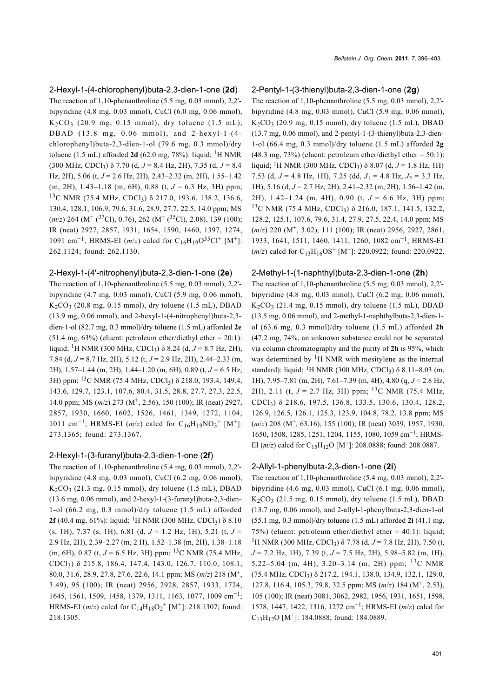#### 2-Hexyl-1-(4-chlorophenyl)buta-2,3-dien-1-one (**2d**)

The reaction of 1,10-phenanthroline (5.5 mg, 0.03 mmol), 2,2' bipyridine (4.8 mg, 0.03 mmol), CuCl (6.0 mg, 0.06 mmol),  $K_2CO_3$  (20.9 mg, 0.15 mmol), dry toluene (1.5 mL), DBAD (13.8 mg, 0.06 mmol), and 2-hexyl-1-(4 chlorophenyl)buta-2,3-dien-1-ol (79.6 mg, 0.3 mmol)/dry toluene (1.5 mL) afforded  $2d$  (62.0 mg, 78%): liquid; <sup>1</sup>H NMR (300 MHz, CDCl3) δ 7.70 (d, *J* = 8.4 Hz, 2H), 7.35 (d, *J* = 8.4 Hz, 2H), 5.06 (t, *J* = 2.6 Hz, 2H), 2.43–2.32 (m, 2H), 1.55–1.42 (m, 2H), 1.43–1.18 (m, 6H), 0.88 (t, *J* = 6.3 Hz, 3H) ppm; <sup>13</sup>C NMR (75.4 MHz, CDCl3) δ 217.0, 193.6, 138.2, 136.6, 130.4, 128.1, 106.9, 79.6, 31.6, 28.9, 27.7, 22.5, 14.0 ppm; MS (*m*/*z*) 264 (M<sup>+</sup> (<sup>37</sup>Cl), 0.76), 262 (M<sup>+</sup> (<sup>35</sup>Cl), 2.08), 139 (100); IR (neat) 2927, 2857, 1931, 1654, 1590, 1460, 1397, 1274, 1091 cm<sup>-1</sup>; HRMS-EI (*m*/*z*) calcd for C<sub>16</sub>H<sub>19</sub>O<sup>35</sup>Cl<sup>+</sup> [M<sup>+</sup>]: 262.1124; found: 262.1130.

#### 2-Hexyl-1-(4'-nitrophenyl)buta-2,3-dien-1-one (**2e**)

The reaction of 1,10-phenanthroline (5.5 mg, 0.03 mmol), 2,2' bipyridine (4.7 mg, 0.03 mmol), CuCl (5.9 mg, 0.06 mmol),  $K_2CO_3$  (20.8 mg, 0.15 mmol), dry toluene (1.5 mL), DBAD (13.9 mg, 0.06 mmol), and 2-hexyl-1-(4-nitrophenyl)buta-2,3 dien-1-ol (82.7 mg, 0.3 mmol)/dry toluene (1.5 mL) afforded **2e**  $(51.4 \text{ mg}, 63%)$  (eluent: petroleum ether/diethyl ether = 20:1): liquid; 1H NMR (300 MHz, CDCl3) δ 8.24 (d, *J* = 8.7 Hz, 2H), 7.84 (d, *J* = 8.7 Hz, 2H), 5.12 (t, *J* = 2.9 Hz, 2H), 2.44–2.33 (m, 2H), 1.57–1.44 (m, 2H), 1.44–1.20 (m, 6H), 0.89 (t, *J* = 6.5 Hz, 3H) ppm; 13C NMR (75.4 MHz, CDCl3) δ 218.0, 193.4, 149.4, 143.6, 129.7, 123.1, 107.6, 80.4, 31.5, 28.8, 27.7, 27.3, 22.5, 14.0 ppm; MS (*m*/*z*) 273 (M<sup>+</sup> , 2.56), 150 (100); IR (neat) 2927, 2857, 1930, 1660, 1602, 1526, 1461, 1349, 1272, 1104, 1011 cm<sup>-1</sup>; HRMS-EI ( $m/z$ ) calcd for C<sub>16</sub>H<sub>19</sub>NO<sub>3</sub><sup>+</sup> [M<sup>+</sup>]: 273.1365; found: 273.1367.

#### 2-Hexyl-1-(3-furanyl)buta-2,3-dien-1-one (**2f**)

The reaction of 1,10-phenanthroline (5.4 mg, 0.03 mmol), 2,2' bipyridine (4.8 mg, 0.03 mmol), CuCl (6.2 mg, 0.06 mmol),  $K_2CO_3$  (21.3 mg, 0.15 mmol), dry toluene (1.5 mL), DBAD (13.6 mg, 0.06 mmol), and 2-hexyl-1-(3-furanyl)buta-2,3-dien-1-ol (66.2 mg, 0.3 mmol)/dry toluene (1.5 mL) afforded **2f** (40.4 mg, 61%): liquid; <sup>1</sup>H NMR (300 MHz, CDCl<sub>3</sub>) δ 8.10  $(s, 1H)$ , 7.37  $(s, 1H)$ , 6.81  $(d, J = 1.2 \text{ Hz}, 1H)$ , 5.21  $(t, J =$ 2.9 Hz, 2H), 2.39–2.27 (m, 2 H), 1.52–1.38 (m, 2H), 1.38–1.18 (m, 6H), 0.87 (t,  $J = 6.5$  Hz, 3H) ppm; <sup>13</sup>C NMR (75.4 MHz, CDCl<sup>3</sup> ) δ 215.8, 186.4, 147.4, 143.0, 126.7, 110.0, 108.1, 80.0, 31.6, 28.9, 27.8, 27.6, 22.6, 14.1 ppm; MS (*m*/*z*) 218 (M<sup>+</sup> , 3.49), 95 (100); IR (neat) 2956, 2928, 2857, 1933, 1724, 1645, 1561, 1509, 1458, 1379, 1311, 1163, 1077, 1009 cm−<sup>1</sup> ; HRMS-EI ( $m/z$ ) calcd for  $C_{14}H_{18}O_2^+$  [M<sup>+</sup>]: 218.1307; found: 218.1305.

#### 2-Pentyl-1-(3-thienyl)buta-2,3-dien-1-one (**2g**)

The reaction of 1,10-phenanthroline (5.5 mg, 0.03 mmol), 2,2' bipyridine (4.8 mg, 0.03 mmol), CuCl (5.9 mg, 0.06 mmol),  $K_2CO_3$  (20.9 mg, 0.15 mmol), dry toluene (1.5 mL), DBAD (13.7 mg, 0.06 mmol), and 2-pentyl-1-(3-thienyl)buta-2,3-dien-1-ol (66.4 mg, 0.3 mmol)/dry toluene (1.5 mL) afforded **2g** (48.3 mg, 73%) (eluent: petroleum ether/diethyl ether =  $50:1$ ): liquid; 1H NMR (300 MHz, CDCl3) δ 8.07 (d, *J* = 1.8 Hz, 1H) 7.53 (d,  $J = 4.8$  Hz, 1H), 7.25 (dd,  $J_1 = 4.8$  Hz,  $J_2 = 3.3$  Hz, 1H), 5.16 (d, *J* = 2.7 Hz, 2H), 2.41–2.32 (m, 2H), 1.56–1.42 (m, 2H), 1.42–1.24 (m, 4H), 0.90 (t, *J* = 6.6 Hz, 3H) ppm; <sup>13</sup>C NMR (75.4 MHz, CDCl3) δ 216.0, 187.1, 141.5, 132.2, 128.2, 125.1, 107.6, 79.6, 31.4, 27.9, 27.5, 22.4, 14.0 ppm; MS (*m*/*z*) 220 (M<sup>+</sup>, 3.02), 111 (100); IR (neat) 2956, 2927, 2861, 1933, 1641, 1511, 1460, 1411, 1260, 1082 cm−<sup>1</sup> ; HRMS-EI  $(m/z)$  calcd for C<sub>13</sub>H<sub>16</sub>OS<sup>+</sup> [M<sup>+</sup>]: 220.0922; found: 220.0922.

#### 2-Methyl-1-(1-naphthyl)buta-2,3-dien-1-one (**2h**)

The reaction of 1,10-phenanthroline (5.5 mg, 0.03 mmol), 2,2' bipyridine (4.8 mg, 0.03 mmol), CuCl (6.2 mg, 0.06 mmol),  $K<sub>2</sub>CO<sub>3</sub>$  (21.4 mg, 0.15 mmol), dry toluene (1.5 mL), DBAD (13.5 mg, 0.06 mmol), and 2-methyl-1-naphthylbuta-2,3-dien-1 ol (63.6 mg, 0.3 mmol)/dry toluene (1.5 mL) afforded **2h** (47.2 mg, 74%, an unknown substance could not be separated via column chromatography and the purity of **2h** is 95%, which was determined by  ${}^{1}H$  NMR with mesitylene as the internal standard): liquid; <sup>1</sup>H NMR (300 MHz, CDCl<sub>3</sub>)  $\delta$  8.11–8.03 (m, 1H), 7.95–7.81 (m, 2H), 7.61–7.39 (m, 4H), 4.80 (q, *J* = 2.8 Hz, 2H), 2.11 (t,  $J = 2.7$  Hz, 3H) ppm; <sup>13</sup>C NMR (75.4 MHz, CDCl3) δ 218.6, 197.5, 136.8, 133.5, 130.6, 130.4, 128.2, 126.9, 126.5, 126.1, 125.3, 123.9, 104.8, 78.2, 13.8 ppm; MS (*m*/*z*) 208 (M<sup>+</sup>, 63.16), 155 (100); IR (neat) 3059, 1957, 1930, 1650, 1508, 1285, 1251, 1204, 1155, 1080, 1059 cm−<sup>1</sup> ; HRMS-EI ( $m/z$ ) calcd for C<sub>15</sub>H<sub>12</sub>O [M<sup>+</sup>]: 208.0888; found: 208.0887.

#### 2-Allyl-1-phenylbuta-2,3-dien-1-one (**2i**)

The reaction of 1,10-phenanthroline (5.4 mg, 0.03 mmol), 2,2' bipyridine (4.6 mg, 0.03 mmol), CuCl (6.1 mg, 0.06 mmol),  $K_2CO_3$  (21.5 mg, 0.15 mmol), dry toluene (1.5 mL), DBAD (13.7 mg, 0.06 mmol), and 2-allyl-1-phenylbuta-2,3-dien-1-ol (55.1 mg, 0.3 mmol)/dry toluene (1.5 mL) afforded **2i** (41.1 mg, 75%) (eluent: petroleum ether/diethyl ether =  $40:1$ ): liquid; <sup>1</sup>H NMR (300 MHz, CDCl<sub>3</sub>) δ 7.78 (d, *J* = 7.8 Hz, 2H), 7.50 (t, *J* = 7.2 Hz, 1H), 7.39 (t, *J* = 7.5 Hz, 2H), 5.98–5.82 (m, 1H), 5.22–5.04 (m, 4H), 3.20–3.14 (m, 2H) ppm; <sup>13</sup>C NMR (75.4 MHz, CDCl<sup>3</sup> ) δ 217.2, 194.1, 138.0, 134.9, 132.1, 129.0, 127.8, 116.4, 105.3, 79.8, 32.5 ppm; MS (*m*/*z*) 184 (M<sup>+</sup> , 2.53), 105 (100); IR (neat) 3081, 3062, 2982, 1956, 1931, 1651, 1598, 1578, 1447, 1422, 1316, 1272 cm−<sup>1</sup> ; HRMS-EI (*m*/*z*) calcd for  $C_{13}H_{12}O$  [M<sup>+</sup>]: 184.0888; found: 184.0889.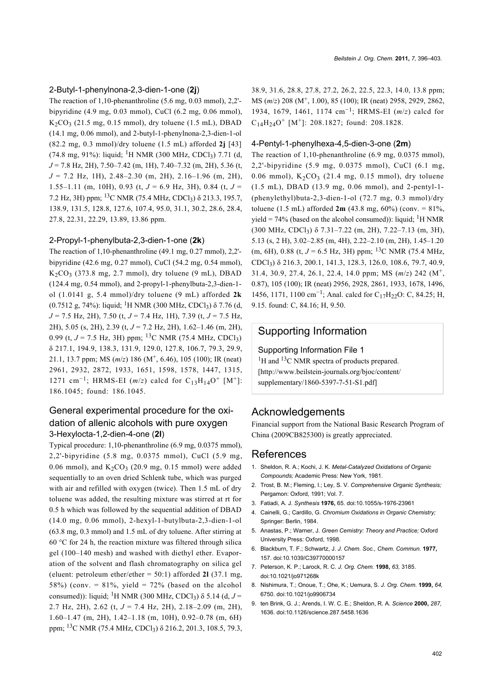#### 2-Butyl-1-phenylnona-2,3-dien-1-one (**2j**)

The reaction of 1,10-phenanthroline (5.6 mg, 0.03 mmol), 2,2' bipyridine (4.9 mg, 0.03 mmol), CuCl (6.2 mg, 0.06 mmol),  $K_2CO_3$  (21.5 mg, 0.15 mmol), dry toluene (1.5 mL), DBAD (14.1 mg, 0.06 mmol), and 2-butyl-1-phenylnona-2,3-dien-1-ol (82.2 mg, 0.3 mmol)/dry toluene (1.5 mL) afforded **2j** [\[43\]](#page-7-12)  $(74.8 \text{ mg}, 91\%)$ : liquid; <sup>1</sup>H NMR (300 MHz, CDCl<sub>3</sub>) 7.71 (d, *J* = 7.8 Hz, 2H), 7.50–7.42 (m, 1H), 7.40–7.32 (m, 2H), 5.36 (t, *J* = 7.2 Hz, 1H), 2.48–2.30 (m, 2H), 2.16–1.96 (m, 2H), 1.55–1.11 (m, 10H), 0.93 (t,  $J = 6.9$  Hz, 3H), 0.84 (t,  $J =$ 7.2 Hz, 3H) ppm;  $^{13}$ C NMR (75.4 MHz, CDCl<sub>3</sub>)  $\delta$  213.3, 195.7, 138.9, 131.5, 128.8, 127.6, 107.4, 95.0, 31.1, 30.2, 28.6, 28.4, 27.8, 22.31, 22.29, 13.89, 13.86 ppm.

#### 2-Propyl-1-phenylbuta-2,3-dien-1-one (**2k**)

The reaction of 1,10-phenanthroline (49.1 mg, 0.27 mmol), 2,2' bipyridine (42.6 mg, 0.27 mmol), CuCl (54.2 mg, 0.54 mmol),  $K<sub>2</sub>CO<sub>3</sub>$  (373.8 mg, 2.7 mmol), dry toluene (9 mL), DBAD (124.4 mg, 0.54 mmol), and 2-propyl-1-phenylbuta-2,3-dien-1 ol (1.0141 g, 5.4 mmol)/dry toluene (9 mL) afforded **2k** (0.7512 g, 74%): liquid; <sup>1</sup>H NMR (300 MHz, CDCl<sub>3</sub>)  $\delta$  7.76 (d, *J* = 7.5 Hz, 2H), 7.50 (t, *J* = 7.4 Hz, 1H), 7.39 (t, *J* = 7.5 Hz, 2H), 5.05 (s, 2H), 2.39 (t, *J* = 7.2 Hz, 2H), 1.62–1.46 (m, 2H), 0.99 (t, *J* = 7.5 Hz, 3H) ppm; <sup>13</sup>C NMR (75.4 MHz, CDCl<sub>3</sub>) δ 217.1, 194.9, 138.3, 131.9, 129.0, 127.8, 106.7, 79.3, 29.9, 21.1, 13.7 ppm; MS ( $m/z$ ) 186 (M<sup>+</sup>, 6.46), 105 (100); IR (neat) 2961, 2932, 2872, 1933, 1651, 1598, 1578, 1447, 1315, 1271 cm<sup>-1</sup>; HRMS-EI ( $m/z$ ) calcd for C<sub>13</sub>H<sub>14</sub>O<sup>+</sup> [M<sup>+</sup>]: 186.1045; found: 186.1045.

### General experimental procedure for the oxidation of allenic alcohols with pure oxygen 3-Hexylocta-1,2-dien-4-one (**2l**)

Typical procedure: 1,10-phenanthroline (6.9 mg, 0.0375 mmol), 2,2'-bipyridine (5.8 mg, 0.0375 mmol), CuCl (5.9 mg, 0.06 mmol), and  $K_2CO_3$  (20.9 mg, 0.15 mmol) were added sequentially to an oven dried Schlenk tube, which was purged with air and refilled with oxygen (twice). Then 1.5 mL of dry toluene was added, the resulting mixture was stirred at rt for 0.5 h which was followed by the sequential addition of DBAD (14.0 mg, 0.06 mmol), 2-hexyl-1-butylbuta-2,3-dien-1-ol (63.8 mg, 0.3 mmol) and 1.5 mL of dry toluene. After stirring at 60 °C for 24 h, the reaction mixture was filtered through silica gel (100–140 mesh) and washed with diethyl ether. Evaporation of the solvent and flash chromatography on silica gel (eluent: petroleum ether/ether = 50:1) afforded **2l** (37.1 mg, 58%) (conv. =  $81\%$ , yield =  $72\%$  (based on the alcohol consumed)): liquid; <sup>1</sup>H NMR (300 MHz, CDCl<sub>3</sub>) δ 5.14 (d, *J* = 2.7 Hz, 2H), 2.62 (t, *J* = 7.4 Hz, 2H), 2.18–2.09 (m, 2H), 1.60–1.47 (m, 2H), 1.42–1.18 (m, 10H), 0.92–0.78 (m, 6H) ppm; <sup>13</sup>C NMR (75.4 MHz, CDCl<sub>3</sub>) δ 216.2, 201.3, 108.5, 79.3,

38.9, 31.6, 28.8, 27.8, 27.2, 26.2, 22.5, 22.3, 14.0, 13.8 ppm; MS (*m*/*z*) 208 (M<sup>+</sup> , 1.00), 85 (100); IR (neat) 2958, 2929, 2862, 1934, 1679, 1461, 1174 cm−<sup>1</sup> ; HRMS-EI (*m*/*z*) calcd for  $C_{14}H_{24}O^+$  [M<sup>+</sup>]: 208.1827; found: 208.1828.

#### 4-Pentyl-1-phenylhexa-4,5-dien-3-one (**2m**)

The reaction of 1,10-phenanthroline (6.9 mg, 0.0375 mmol), 2,2'-bipyridine (5.9 mg, 0.0375 mmol), CuCl (6.1 mg, 0.06 mmol),  $K_2CO_3$  (21.4 mg, 0.15 mmol), dry toluene (1.5 mL), DBAD (13.9 mg, 0.06 mmol), and 2-pentyl-1-  $(phenylethyl) but a-2, 3-dien-1-ol (72.7 mg, 0.3 mmol)/dry$ toluene (1.5 mL) afforded **2m** (43.8 mg, 60%) (conv. = 81%, yield =  $74\%$  (based on the alcohol consumed)): liquid; <sup>1</sup>H NMR (300 MHz, CDCl3) δ 7.31–7.22 (m, 2H), 7.22–7.13 (m, 3H), 5.13 (s, 2 H), 3.02–2.85 (m, 4H), 2.22–2.10 (m, 2H), 1.45–1.20 (m, 6H), 0.88 (t,  $J = 6.5$  Hz, 3H) ppm; <sup>13</sup>C NMR (75.4 MHz, CDCl3) δ 216.3, 200.1, 141.3, 128.3, 126.0, 108.6, 79.7, 40.9, 31.4, 30.9, 27.4, 26.1, 22.4, 14.0 ppm; MS (*m*/*z*) 242 (M<sup>+</sup> , 0.87), 105 (100); IR (neat) 2956, 2928, 2861, 1933, 1678, 1496, 1456, 1171, 1100 cm−<sup>1</sup> ; Anal. calcd for C17H22O: C, 84.25; H, 9.15. found: C, 84.16; H, 9.50.

# Supporting Information

Supporting Information File 1

 ${}^{1}$ H and  ${}^{13}$ C NMR spectra of products prepared. [\[http://www.beilstein-journals.org/bjoc/content/](http://www.beilstein-journals.org/bjoc/content/supplementary/1860-5397-7-51-S1.pdf) [supplementary/1860-5397-7-51-S1.pdf\]](http://www.beilstein-journals.org/bjoc/content/supplementary/1860-5397-7-51-S1.pdf)

## Acknowledgements

Financial support from the National Basic Research Program of China (2009CB825300) is greatly appreciated.

### References

- <span id="page-6-0"></span>1. Sheldon, R. A.; Kochi, J. K. *Metal-Catalyzed Oxidations of Organic Compounds;* Academic Press: New York, 1981.
- 2. Trost, B. M.; Fleming, I.; Ley, S. V. *Comprehensive Organic Synthesis;* Pergamon: Oxford, 1991; Vol. 7.
- <span id="page-6-1"></span>3. Fatiadi, A. J. *Synthesis* **1976,** 65. [doi:10.1055/s-1976-23961](http://dx.doi.org/10.1055%2Fs-1976-23961)
- <span id="page-6-2"></span>4. Cainelli, G.; Cardillo, G. *Chromium Oxidations in Organic Chemistry;* Springer: Berlin, 1984.
- <span id="page-6-3"></span>5. Anastas, P.; Warner, J. *Green Cemistry: Theory and Practice;* Oxford University Press: Oxford, 1998.
- <span id="page-6-4"></span>6. Blackburn, T. F.; Schwartz, J. *J. Chem. Soc., Chem. Commun.* **1977,** 157. [doi:10.1039/C39770000157](http://dx.doi.org/10.1039%2FC39770000157)
- 7. Peterson, K. P.; Larock, R. C. *J. Org. Chem.* **1998,** *63,* 3185. [doi:10.1021/jo971268k](http://dx.doi.org/10.1021%2Fjo971268k)
- 8. Nishimura, T.; Onoue, T.; Ohe, K.; Uemura, S. *J. Org. Chem.* **1999,** *64,* 6750. [doi:10.1021/jo9906734](http://dx.doi.org/10.1021%2Fjo9906734)
- 9. ten Brink, G. J.; Arends, I. W. C. E.; Sheldon, R. A. *Science* **2000,** *287,* 1636. [doi:10.1126/science.287.5458.1636](http://dx.doi.org/10.1126%2Fscience.287.5458.1636)